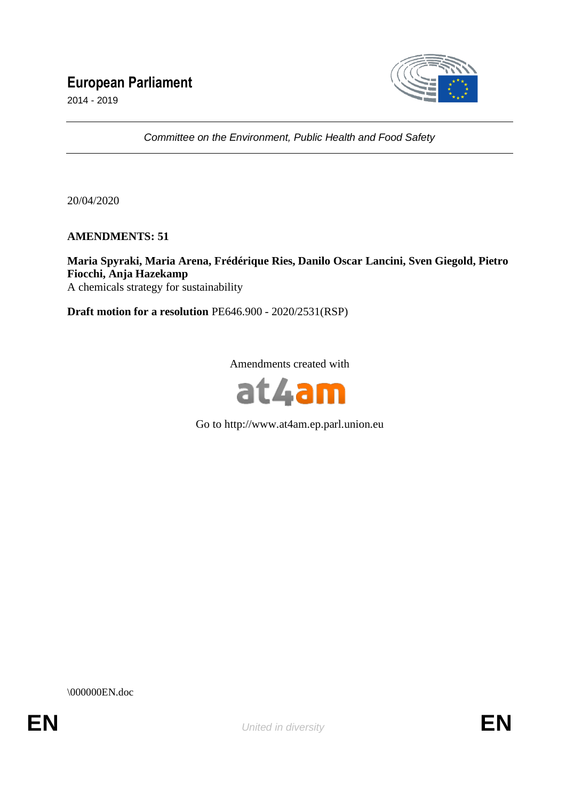# **European Parliament**

2014 - 2019



*Committee on the Environment, Public Health and Food Safety*

20/04/2020

**AMENDMENTS: 51**

## **Maria Spyraki, Maria Arena, Frédérique Ries, Danilo Oscar Lancini, Sven Giegold, Pietro Fiocchi, Anja Hazekamp**

A chemicals strategy for sustainability

**Draft motion for a resolution** PE646.900 - 2020/2531(RSP)

Amendments created with



Go to http://www.at4am.ep.parl.union.eu

\000000EN.doc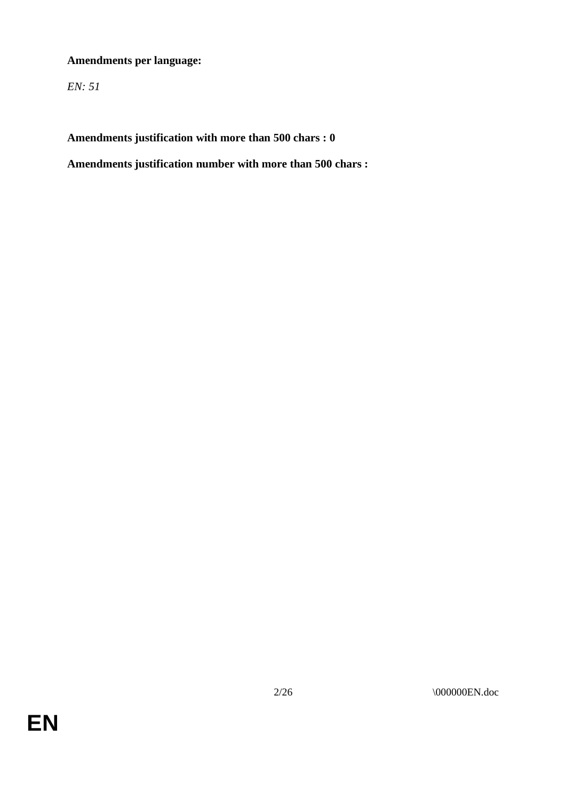## **Amendments per language:**

*EN: 51*

**Amendments justification with more than 500 chars : 0**

**Amendments justification number with more than 500 chars :**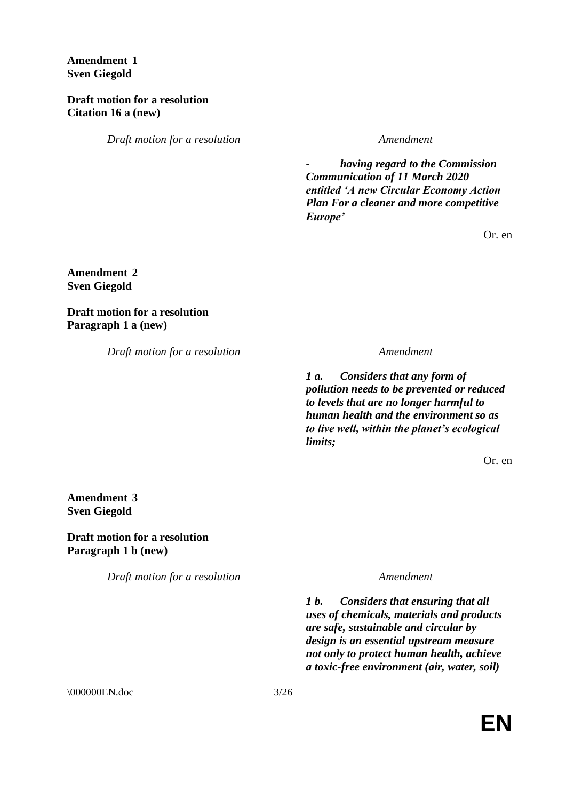**Amendment 1 Sven Giegold**

**Draft motion for a resolution Citation 16 a (new)**

*Draft motion for a resolution Amendment*

*- having regard to the Commission Communication of 11 March 2020 entitled 'A new Circular Economy Action Plan For a cleaner and more competitive Europe'*

Or. en

### **Amendment 2 Sven Giegold**

**Draft motion for a resolution Paragraph 1 a (new)**

*Draft motion for a resolution Amendment*

*1 a. Considers that any form of pollution needs to be prevented or reduced to levels that are no longer harmful to human health and the environment so as to live well, within the planet's ecological limits;*

Or. en

**Amendment 3 Sven Giegold**

**Draft motion for a resolution Paragraph 1 b (new)**

*Draft motion for a resolution Amendment*

*1 b. Considers that ensuring that all uses of chemicals, materials and products are safe, sustainable and circular by design is an essential upstream measure not only to protect human health, achieve a toxic-free environment (air, water, soil)* 

\\ 000000EN.doc 3/26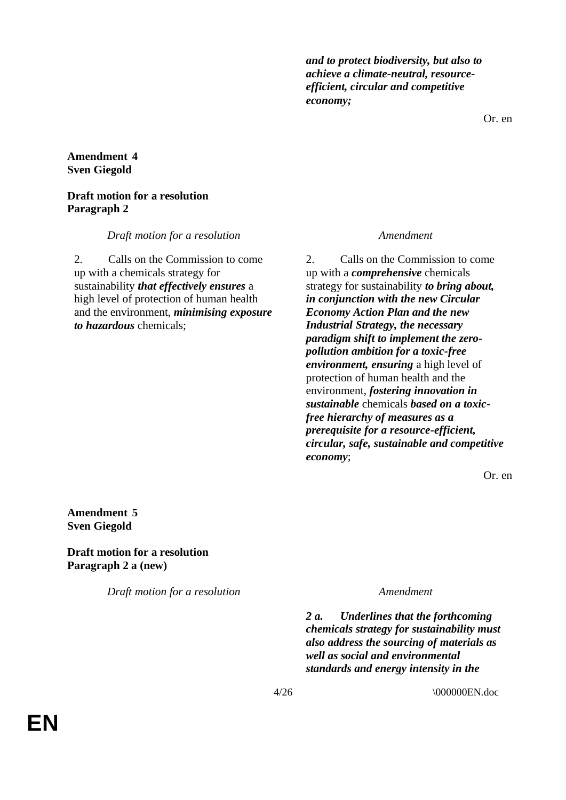*and to protect biodiversity, but also to achieve a climate-neutral, resourceefficient, circular and competitive economy;*

Or. en

#### **Amendment 4 Sven Giegold**

### **Draft motion for a resolution Paragraph 2**

*Draft motion for a resolution Amendment*

2. Calls on the Commission to come up with a chemicals strategy for sustainability *that effectively ensures* a high level of protection of human health and the environment, *minimising exposure to hazardous* chemicals;

2. Calls on the Commission to come up with a *comprehensive* chemicals strategy for sustainability *to bring about, in conjunction with the new Circular Economy Action Plan and the new Industrial Strategy, the necessary paradigm shift to implement the zeropollution ambition for a toxic-free environment, ensuring* a high level of protection of human health and the environment, *fostering innovation in sustainable* chemicals *based on a toxicfree hierarchy of measures as a prerequisite for a resource-efficient, circular, safe, sustainable and competitive economy*;

Or. en

**Amendment 5 Sven Giegold**

**Draft motion for a resolution Paragraph 2 a (new)**

*Draft motion for a resolution Amendment*

*2 a. Underlines that the forthcoming chemicals strategy for sustainability must also address the sourcing of materials as well as social and environmental standards and energy intensity in the* 

4/26 \000000EN.doc

**EN**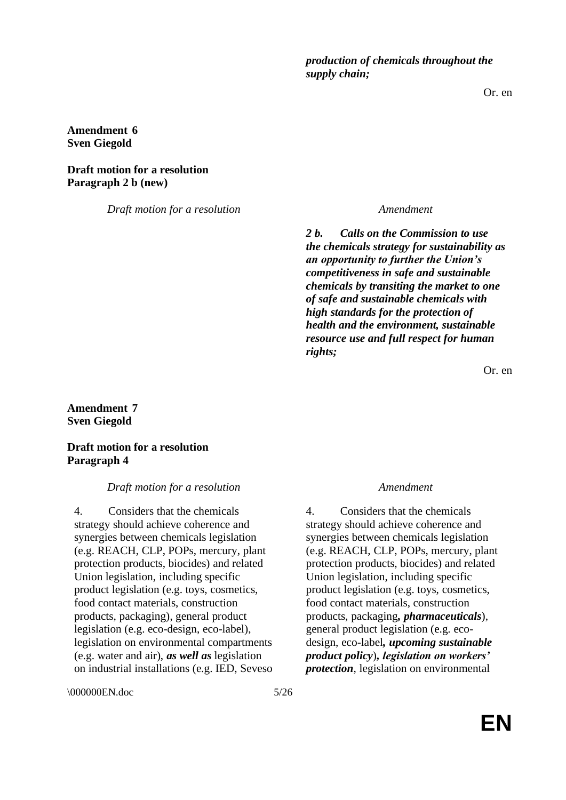*production of chemicals throughout the supply chain;*

Or. en

### **Amendment 6 Sven Giegold**

**Draft motion for a resolution Paragraph 2 b (new)**

*Draft motion for a resolution Amendment*

*2 b. Calls on the Commission to use the chemicals strategy for sustainability as an opportunity to further the Union's competitiveness in safe and sustainable chemicals by transiting the market to one of safe and sustainable chemicals with high standards for the protection of health and the environment, sustainable resource use and full respect for human rights;*

Or. en

**Amendment 7 Sven Giegold**

### **Draft motion for a resolution Paragraph 4**

#### *Draft motion for a resolution Amendment*

4. Considers that the chemicals strategy should achieve coherence and synergies between chemicals legislation (e.g. REACH, CLP, POPs, mercury, plant protection products, biocides) and related Union legislation, including specific product legislation (e.g. toys, cosmetics, food contact materials, construction products, packaging), general product legislation (e.g. eco-design, eco-label), legislation on environmental compartments (e.g. water and air), *as well as* legislation on industrial installations (e.g. IED, Seveso

\\ 000000EN.doc 5/26

4. Considers that the chemicals strategy should achieve coherence and synergies between chemicals legislation (e.g. REACH, CLP, POPs, mercury, plant protection products, biocides) and related Union legislation, including specific product legislation (e.g. toys, cosmetics, food contact materials, construction products, packaging*, pharmaceuticals*), general product legislation (e.g. ecodesign, eco-label*, upcoming sustainable product policy*)*, legislation on workers' protection*, legislation on environmental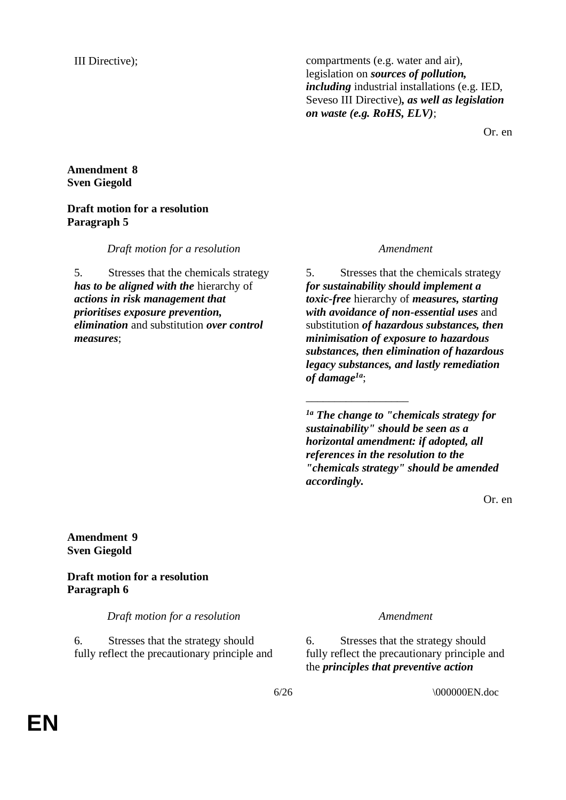III Directive); compartments (e.g. water and air), legislation on *sources of pollution, including* industrial installations (e.g. IED, Seveso III Directive)*, as well as legislation on waste (e.g. RoHS, ELV)*;

Or. en

### **Amendment 8 Sven Giegold**

### **Draft motion for a resolution Paragraph 5**

*Draft motion for a resolution Amendment*

5. Stresses that the chemicals strategy *has to be aligned with the* hierarchy of *actions in risk management that prioritises exposure prevention, elimination* and substitution *over control measures*;

5. Stresses that the chemicals strategy *for sustainability should implement a toxic-free* hierarchy of *measures, starting with avoidance of non-essential uses* and substitution *of hazardous substances, then minimisation of exposure to hazardous substances, then elimination of hazardous legacy substances, and lastly remediation of damage1a*;

*1a The change to "chemicals strategy for sustainability" should be seen as a horizontal amendment: if adopted, all references in the resolution to the "chemicals strategy" should be amended accordingly.*

\_\_\_\_\_\_\_\_\_\_\_\_\_\_\_\_\_\_

Or. en

**Amendment 9 Sven Giegold**

**Draft motion for a resolution Paragraph 6**

*Draft motion for a resolution Amendment*

6. Stresses that the strategy should fully reflect the precautionary principle and

6. Stresses that the strategy should fully reflect the precautionary principle and the *principles that preventive action*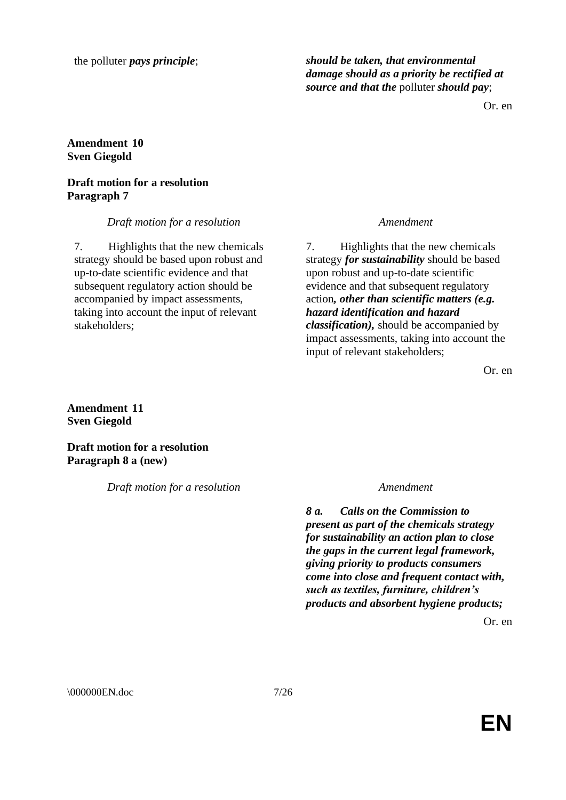the polluter *pays principle*; *should be taken, that environmental damage should as a priority be rectified at source and that the* polluter *should pay*;

Or. en

### **Amendment 10 Sven Giegold**

### **Draft motion for a resolution Paragraph 7**

*Draft motion for a resolution Amendment*

7. Highlights that the new chemicals strategy should be based upon robust and up-to-date scientific evidence and that subsequent regulatory action should be accompanied by impact assessments, taking into account the input of relevant stakeholders;

7. Highlights that the new chemicals strategy *for sustainability* should be based upon robust and up-to-date scientific evidence and that subsequent regulatory action*, other than scientific matters (e.g. hazard identification and hazard classification),* should be accompanied by impact assessments, taking into account the input of relevant stakeholders;

Or. en

**Amendment 11 Sven Giegold**

**Draft motion for a resolution Paragraph 8 a (new)**

*Draft motion for a resolution Amendment*

*8 a. Calls on the Commission to present as part of the chemicals strategy for sustainability an action plan to close the gaps in the current legal framework, giving priority to products consumers come into close and frequent contact with, such as textiles, furniture, children's products and absorbent hygiene products;*

Or. en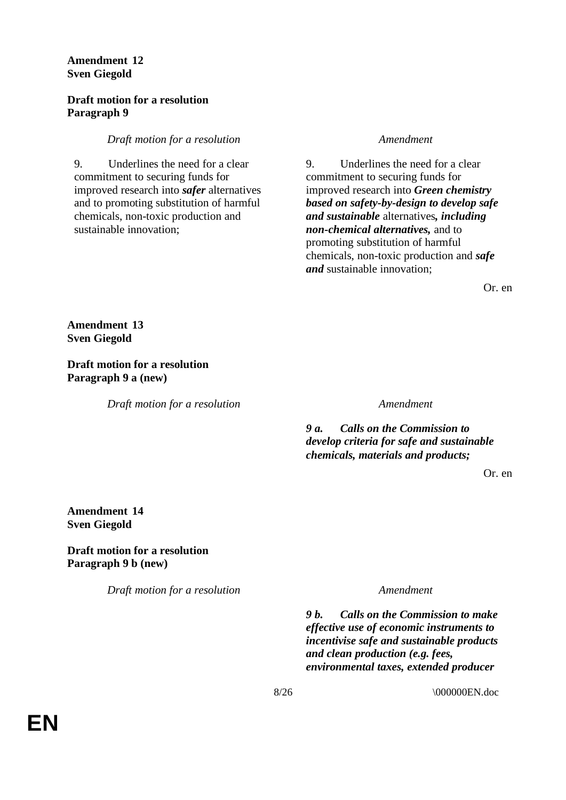### **Amendment 12 Sven Giegold**

### **Draft motion for a resolution Paragraph 9**

### *Draft motion for a resolution Amendment*

9. Underlines the need for a clear commitment to securing funds for improved research into *safer* alternatives and to promoting substitution of harmful chemicals, non-toxic production and sustainable innovation;

9. Underlines the need for a clear commitment to securing funds for improved research into *Green chemistry based on safety-by-design to develop safe and sustainable* alternatives*, including non-chemical alternatives,* and to promoting substitution of harmful chemicals, non-toxic production and *safe and* sustainable innovation;

Or. en

**Amendment 13 Sven Giegold**

**Draft motion for a resolution Paragraph 9 a (new)**

*Draft motion for a resolution Amendment*

*9 a. Calls on the Commission to develop criteria for safe and sustainable chemicals, materials and products;*

Or. en

### **Amendment 14 Sven Giegold**

**Draft motion for a resolution Paragraph 9 b (new)**

*Draft motion for a resolution Amendment*

*9 b. Calls on the Commission to make effective use of economic instruments to incentivise safe and sustainable products and clean production (e.g. fees, environmental taxes, extended producer*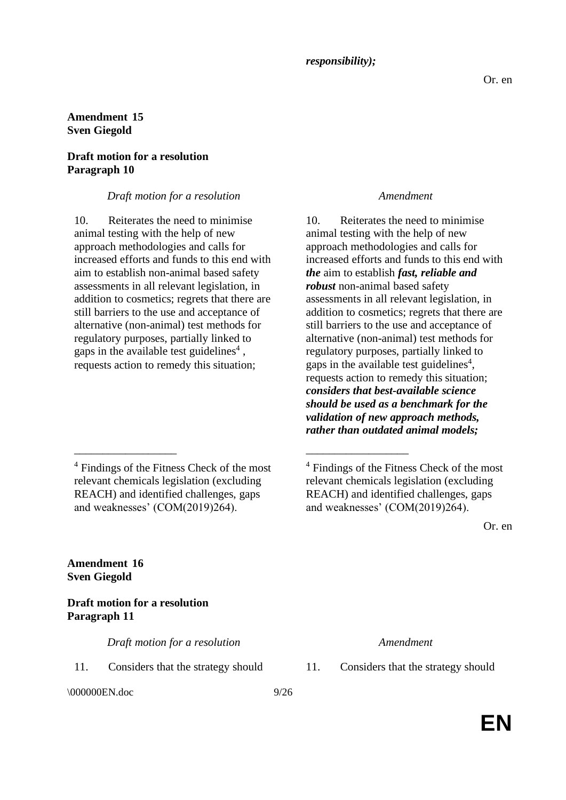# **Amendment 15**

**Sven Giegold**

### **Draft motion for a resolution Paragraph 10**

### *Draft motion for a resolution Amendment*

10. Reiterates the need to minimise animal testing with the help of new approach methodologies and calls for increased efforts and funds to this end with aim to establish non-animal based safety assessments in all relevant legislation, in addition to cosmetics; regrets that there are still barriers to the use and acceptance of alternative (non-animal) test methods for regulatory purposes, partially linked to gaps in the available test guidelines<sup>4</sup>, requests action to remedy this situation;

<sup>4</sup> Findings of the Fitness Check of the most relevant chemicals legislation (excluding REACH) and identified challenges, gaps and weaknesses' (COM(2019)264).

\_\_\_\_\_\_\_\_\_\_\_\_\_\_\_\_\_\_ \_\_\_\_\_\_\_\_\_\_\_\_\_\_\_\_\_\_

10. Reiterates the need to minimise animal testing with the help of new approach methodologies and calls for increased efforts and funds to this end with *the* aim to establish *fast, reliable and robust* non-animal based safety assessments in all relevant legislation, in addition to cosmetics; regrets that there are still barriers to the use and acceptance of alternative (non-animal) test methods for regulatory purposes, partially linked to gaps in the available test guidelines<sup>4</sup>, requests action to remedy this situation; *considers that best-available science should be used as a benchmark for the validation of new approach methods, rather than outdated animal models;*

Or. en

**Amendment 16 Sven Giegold**

### **Draft motion for a resolution Paragraph 11**

*Draft motion for a resolution Amendment*

11. Considers that the strategy should 11. Considers that the strategy should

\000000EN.doc 9/26

<sup>4</sup> Findings of the Fitness Check of the most relevant chemicals legislation (excluding REACH) and identified challenges, gaps and weaknesses' (COM(2019)264).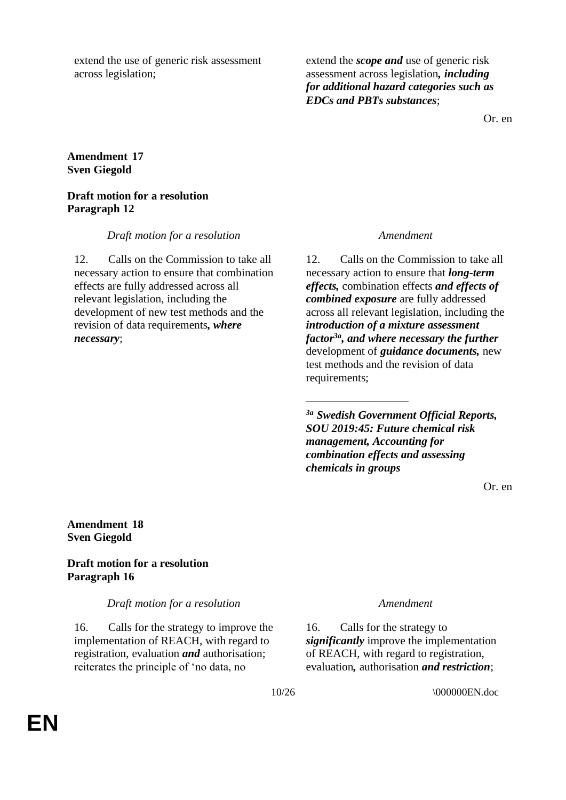extend the use of generic risk assessment across legislation;

extend the *scope and* use of generic risk assessment across legislation*, including for additional hazard categories such as EDCs and PBTs substances*;

Or. en

### **Amendment 17 Sven Giegold**

### **Draft motion for a resolution Paragraph 12**

*Draft motion for a resolution Amendment*

12. Calls on the Commission to take all necessary action to ensure that combination effects are fully addressed across all relevant legislation, including the development of new test methods and the revision of data requirements*, where necessary*;

12. Calls on the Commission to take all necessary action to ensure that *long-term effects,* combination effects *and effects of combined exposure* are fully addressed across all relevant legislation, including the *introduction of a mixture assessment factor3a, and where necessary the further* development of *guidance documents,* new test methods and the revision of data requirements;

*3a Swedish Government Official Reports, SOU 2019:45: Future chemical risk management, Accounting for combination effects and assessing chemicals in groups*

\_\_\_\_\_\_\_\_\_\_\_\_\_\_\_\_\_\_

Or. en

### **Amendment 18 Sven Giegold**

### **Draft motion for a resolution Paragraph 16**

*Draft motion for a resolution Amendment*

16. Calls for the strategy to improve the implementation of REACH, with regard to registration, evaluation *and* authorisation; reiterates the principle of 'no data, no

16. Calls for the strategy to *significantly* improve the implementation of REACH, with regard to registration, evaluation*,* authorisation *and restriction*;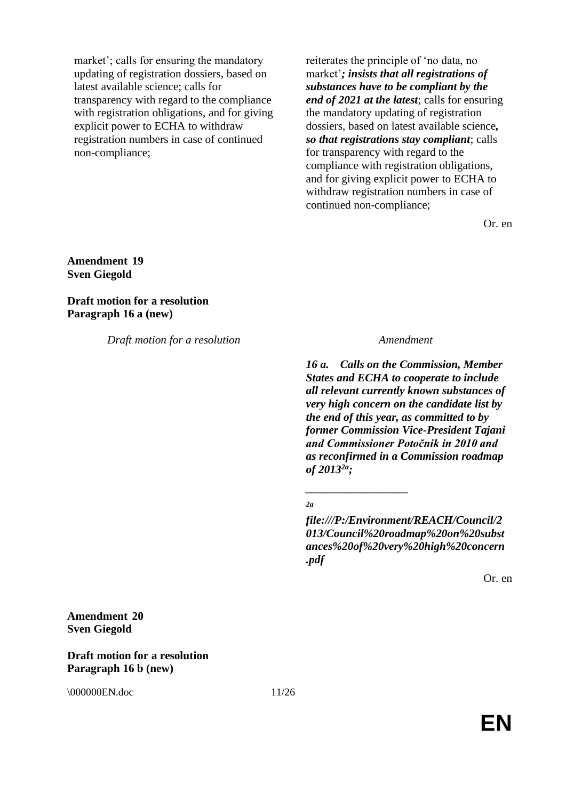market'; calls for ensuring the mandatory updating of registration dossiers, based on latest available science; calls for transparency with regard to the compliance with registration obligations, and for giving explicit power to ECHA to withdraw registration numbers in case of continued non-compliance;

reiterates the principle of 'no data, no market'*; insists that all registrations of substances have to be compliant by the end of 2021 at the latest*; calls for ensuring the mandatory updating of registration dossiers, based on latest available science*, so that registrations stay compliant*; calls for transparency with regard to the compliance with registration obligations, and for giving explicit power to ECHA to withdraw registration numbers in case of continued non-compliance;

Or. en

**Amendment 19 Sven Giegold**

**Draft motion for a resolution Paragraph 16 a (new)**

*Draft motion for a resolution Amendment*

*16 a. Calls on the Commission, Member States and ECHA to cooperate to include all relevant currently known substances of very high concern on the candidate list by the end of this year, as committed to by former Commission Vice-President Tajani and Commissioner Potočnik in 2010 and as reconfirmed in a Commission roadmap of 20132a;*

*2a*

*\_\_\_\_\_\_\_\_\_\_\_\_\_\_\_\_\_\_*

*file:///P:/Environment/REACH/Council/2 013/Council%20roadmap%20on%20subst ances%20of%20very%20high%20concern .pdf*

Or. en

### **Amendment 20 Sven Giegold**

### **Draft motion for a resolution Paragraph 16 b (new)**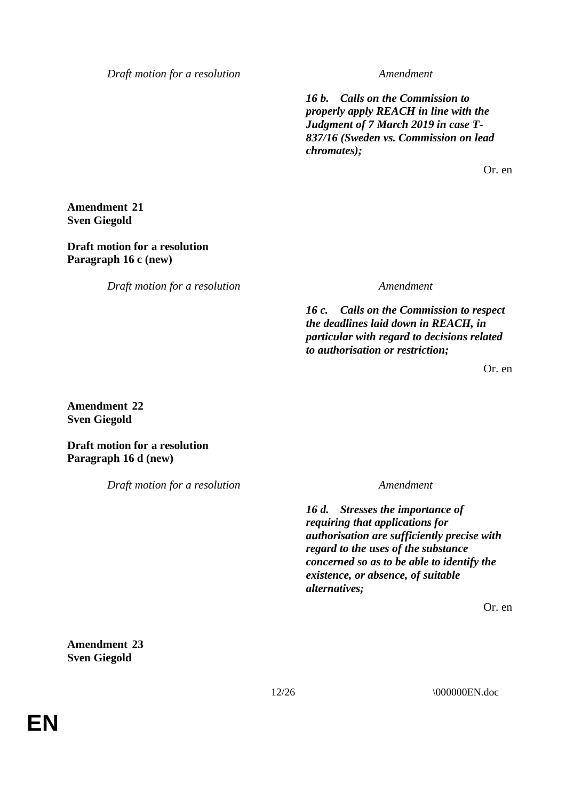*16 b. Calls on the Commission to properly apply REACH in line with the Judgment of 7 March 2019 in case T-837/16 (Sweden vs. Commission on lead chromates);*

Or. en

**Amendment 21 Sven Giegold**

### **Draft motion for a resolution Paragraph 16 c (new)**

*Draft motion for a resolution Amendment*

*16 c. Calls on the Commission to respect the deadlines laid down in REACH, in particular with regard to decisions related to authorisation or restriction;*

Or. en

**Amendment 22 Sven Giegold**

**Draft motion for a resolution Paragraph 16 d (new)**

*Draft motion for a resolution Amendment*

*16 d. Stresses the importance of requiring that applications for authorisation are sufficiently precise with regard to the uses of the substance concerned so as to be able to identify the existence, or absence, of suitable alternatives;*

Or. en

**Amendment 23 Sven Giegold**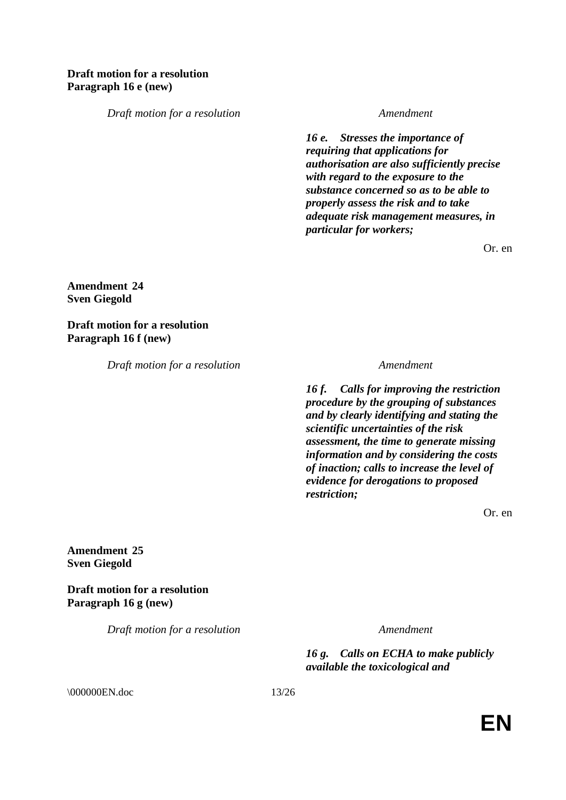*16 e. Stresses the importance of requiring that applications for authorisation are also sufficiently precise with regard to the exposure to the substance concerned so as to be able to properly assess the risk and to take adequate risk management measures, in particular for workers;*

Or. en

**Amendment 24 Sven Giegold**

**Draft motion for a resolution Paragraph 16 f (new)**

*Draft motion for a resolution Amendment*

*16 f. Calls for improving the restriction procedure by the grouping of substances and by clearly identifying and stating the scientific uncertainties of the risk assessment, the time to generate missing information and by considering the costs of inaction; calls to increase the level of evidence for derogations to proposed restriction;*

Or. en

**Amendment 25 Sven Giegold**

**Draft motion for a resolution Paragraph 16 g (new)**

*Draft motion for a resolution Amendment*

*16 g. Calls on ECHA to make publicly available the toxicological and* 

\\ 000000EN.doc 13/26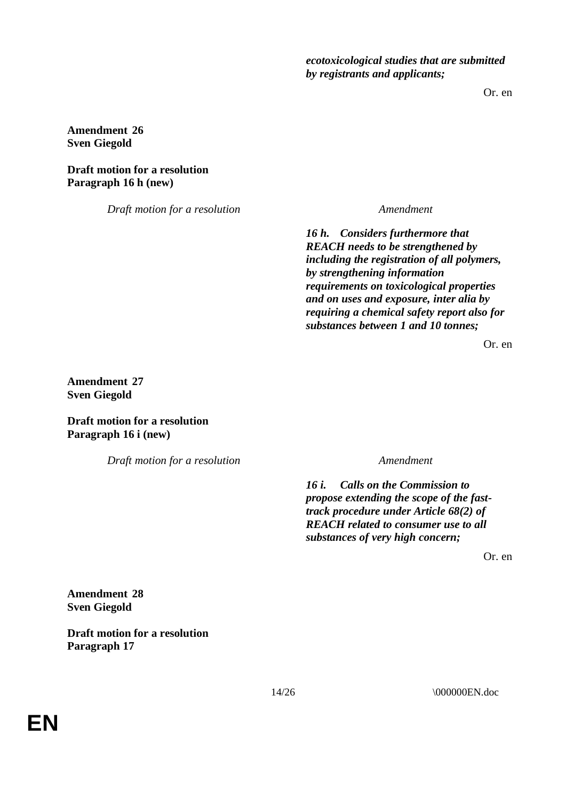*ecotoxicological studies that are submitted by registrants and applicants;*

Or. en

**Amendment 26 Sven Giegold**

**Draft motion for a resolution Paragraph 16 h (new)**

*Draft motion for a resolution Amendment*

*16 h. Considers furthermore that REACH needs to be strengthened by including the registration of all polymers, by strengthening information requirements on toxicological properties and on uses and exposure, inter alia by requiring a chemical safety report also for substances between 1 and 10 tonnes;*

Or. en

**Amendment 27 Sven Giegold**

**Draft motion for a resolution Paragraph 16 i (new)**

*Draft motion for a resolution Amendment*

*16 i. Calls on the Commission to propose extending the scope of the fasttrack procedure under Article 68(2) of REACH related to consumer use to all substances of very high concern;*

Or. en

**Amendment 28 Sven Giegold**

**Draft motion for a resolution Paragraph 17**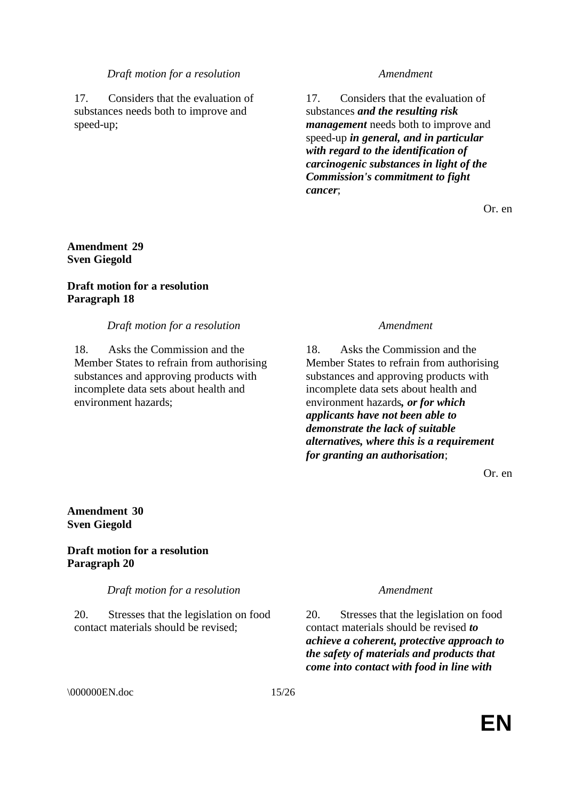17. Considers that the evaluation of substances needs both to improve and speed-up;

17. Considers that the evaluation of substances *and the resulting risk management* needs both to improve and speed-up *in general, and in particular with regard to the identification of carcinogenic substances in light of the Commission's commitment to fight cancer*;

Or. en

### **Amendment 29 Sven Giegold**

### **Draft motion for a resolution Paragraph 18**

### *Draft motion for a resolution Amendment*

18. Asks the Commission and the Member States to refrain from authorising substances and approving products with incomplete data sets about health and environment hazards;

18. Asks the Commission and the Member States to refrain from authorising substances and approving products with incomplete data sets about health and environment hazards*, or for which applicants have not been able to demonstrate the lack of suitable alternatives, where this is a requirement for granting an authorisation*;

Or. en

### **Amendment 30 Sven Giegold**

### **Draft motion for a resolution Paragraph 20**

*Draft motion for a resolution Amendment*

20. Stresses that the legislation on food contact materials should be revised;

20. Stresses that the legislation on food contact materials should be revised *to achieve a coherent, protective approach to the safety of materials and products that come into contact with food in line with* 

\000000EN.doc 15/26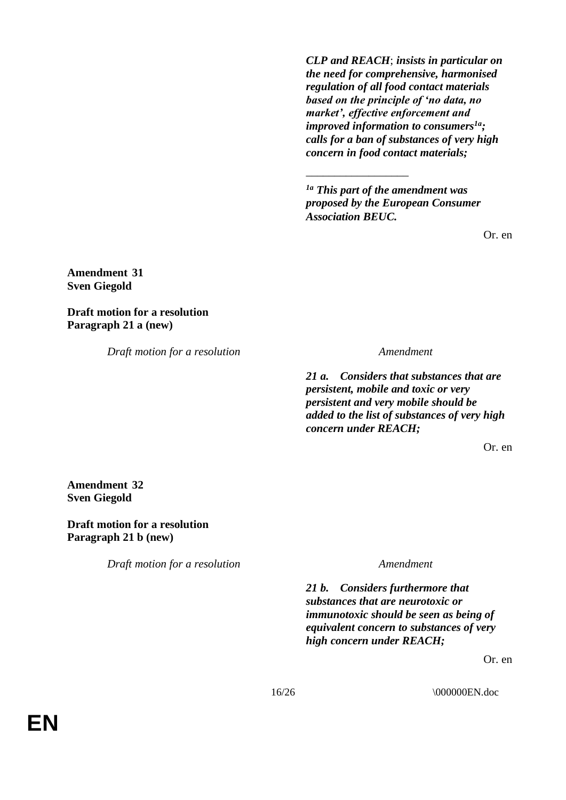*CLP and REACH*; *insists in particular on the need for comprehensive, harmonised regulation of all food contact materials based on the principle of 'no data, no market', effective enforcement and improved information to consumers1a; calls for a ban of substances of very high concern in food contact materials;*

*1a This part of the amendment was proposed by the European Consumer Association BEUC.*

\_\_\_\_\_\_\_\_\_\_\_\_\_\_\_\_\_\_

Or. en

**Amendment 31 Sven Giegold**

**Draft motion for a resolution Paragraph 21 a (new)**

*Draft motion for a resolution Amendment*

*21 a. Considers that substances that are persistent, mobile and toxic or very persistent and very mobile should be added to the list of substances of very high concern under REACH;* 

Or. en

**Amendment 32 Sven Giegold**

**Draft motion for a resolution Paragraph 21 b (new)**

*Draft motion for a resolution Amendment*

*21 b. Considers furthermore that substances that are neurotoxic or immunotoxic should be seen as being of equivalent concern to substances of very high concern under REACH;*

Or. en

16/26 \000000EN.doc

**EN**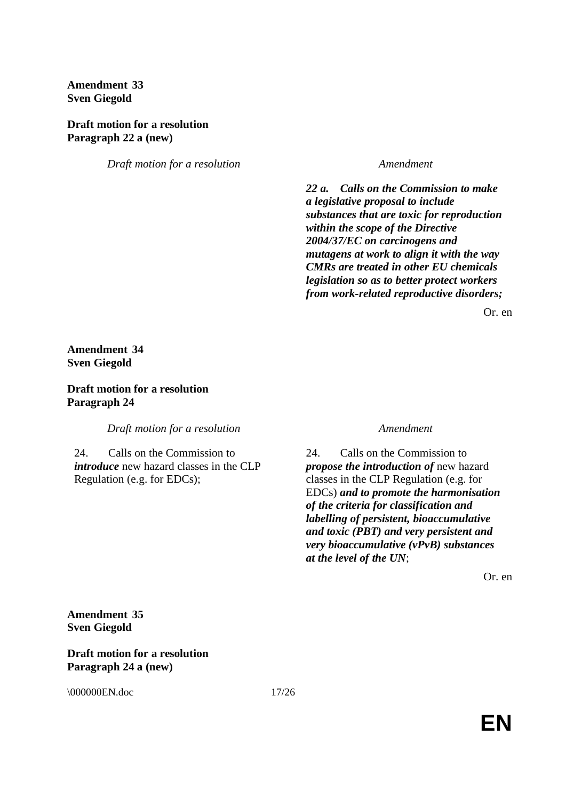**Amendment 33 Sven Giegold**

**Draft motion for a resolution Paragraph 22 a (new)**

*Draft motion for a resolution Amendment*

*22 a. Calls on the Commission to make a legislative proposal to include substances that are toxic for reproduction within the scope of the Directive 2004/37/EC on carcinogens and mutagens at work to align it with the way CMRs are treated in other EU chemicals legislation so as to better protect workers from work-related reproductive disorders;*

Or. en

### **Amendment 34 Sven Giegold**

### **Draft motion for a resolution Paragraph 24**

*Draft motion for a resolution Amendment*

24. Calls on the Commission to *introduce* new hazard classes in the CLP Regulation (e.g. for EDCs);

24. Calls on the Commission to *propose the introduction of* new hazard classes in the CLP Regulation (e.g. for EDCs) *and to promote the harmonisation of the criteria for classification and labelling of persistent, bioaccumulative and toxic (PBT) and very persistent and very bioaccumulative (vPvB) substances at the level of the UN*;

Or. en

**Amendment 35 Sven Giegold**

**Draft motion for a resolution Paragraph 24 a (new)**

\\ 000000EN.doc 17/26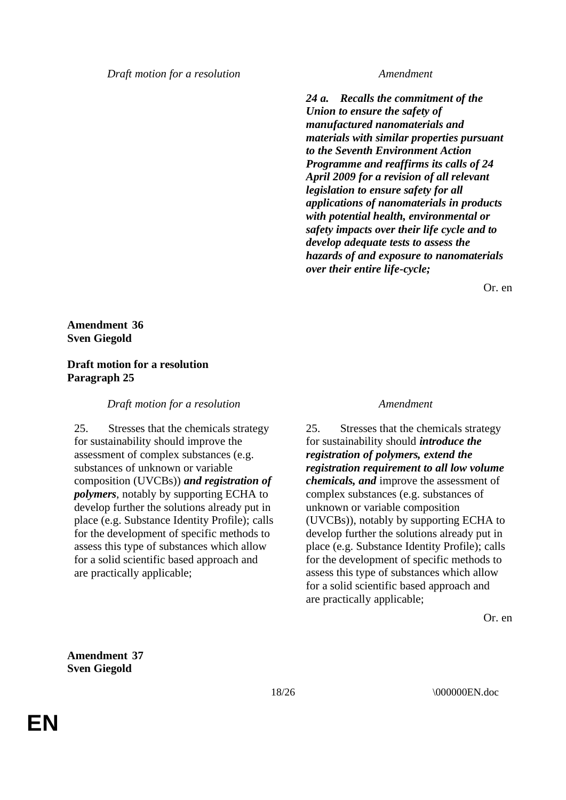*24 a. Recalls the commitment of the Union to ensure the safety of manufactured nanomaterials and materials with similar properties pursuant to the Seventh Environment Action Programme and reaffirms its calls of 24 April 2009 for a revision of all relevant legislation to ensure safety for all applications of nanomaterials in products with potential health, environmental or safety impacts over their life cycle and to develop adequate tests to assess the hazards of and exposure to nanomaterials over their entire life-cycle;*

Or. en

**Amendment 36 Sven Giegold**

### **Draft motion for a resolution Paragraph 25**

*Draft motion for a resolution Amendment*

25. Stresses that the chemicals strategy for sustainability should improve the assessment of complex substances (e.g. substances of unknown or variable composition (UVCBs)) *and registration of polymers*, notably by supporting ECHA to develop further the solutions already put in place (e.g. Substance Identity Profile); calls for the development of specific methods to assess this type of substances which allow for a solid scientific based approach and are practically applicable;

25. Stresses that the chemicals strategy for sustainability should *introduce the registration of polymers, extend the registration requirement to all low volume chemicals, and* improve the assessment of complex substances (e.g. substances of unknown or variable composition (UVCBs)), notably by supporting ECHA to develop further the solutions already put in place (e.g. Substance Identity Profile); calls for the development of specific methods to assess this type of substances which allow for a solid scientific based approach and are practically applicable;

Or. en

**Amendment 37 Sven Giegold**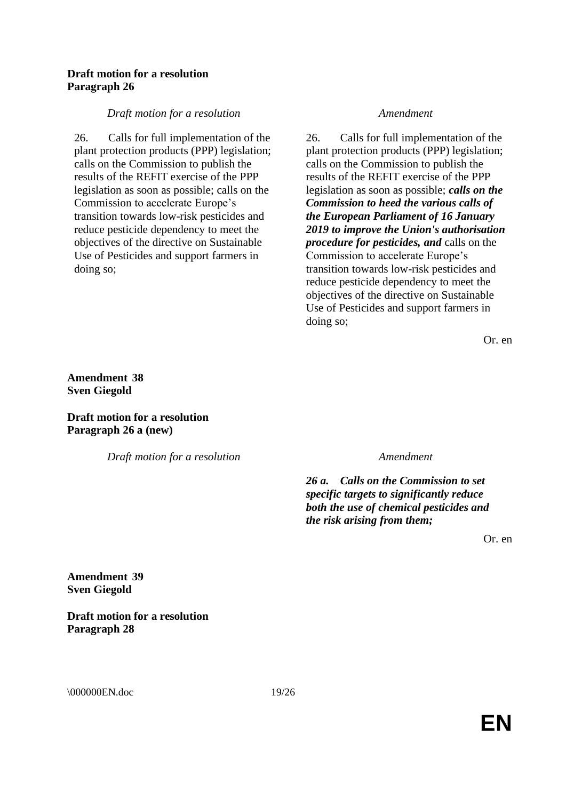#### **Draft motion for a resolution Paragraph 26**

#### *Draft motion for a resolution Amendment*

26. Calls for full implementation of the plant protection products (PPP) legislation; calls on the Commission to publish the results of the REFIT exercise of the PPP legislation as soon as possible; calls on the Commission to accelerate Europe's transition towards low-risk pesticides and reduce pesticide dependency to meet the objectives of the directive on Sustainable Use of Pesticides and support farmers in doing so;

26. Calls for full implementation of the plant protection products (PPP) legislation; calls on the Commission to publish the results of the REFIT exercise of the PPP legislation as soon as possible; *calls on the Commission to heed the various calls of the European Parliament of 16 January 2019 to improve the Union's authorisation procedure for pesticides, and* calls on the Commission to accelerate Europe's transition towards low-risk pesticides and reduce pesticide dependency to meet the objectives of the directive on Sustainable Use of Pesticides and support farmers in doing so;

Or. en

**Amendment 38 Sven Giegold**

**Draft motion for a resolution Paragraph 26 a (new)**

*Draft motion for a resolution Amendment*

*26 a. Calls on the Commission to set specific targets to significantly reduce both the use of chemical pesticides and the risk arising from them;*

Or. en

**Amendment 39 Sven Giegold**

**Draft motion for a resolution Paragraph 28**

\000000EN.doc 19/26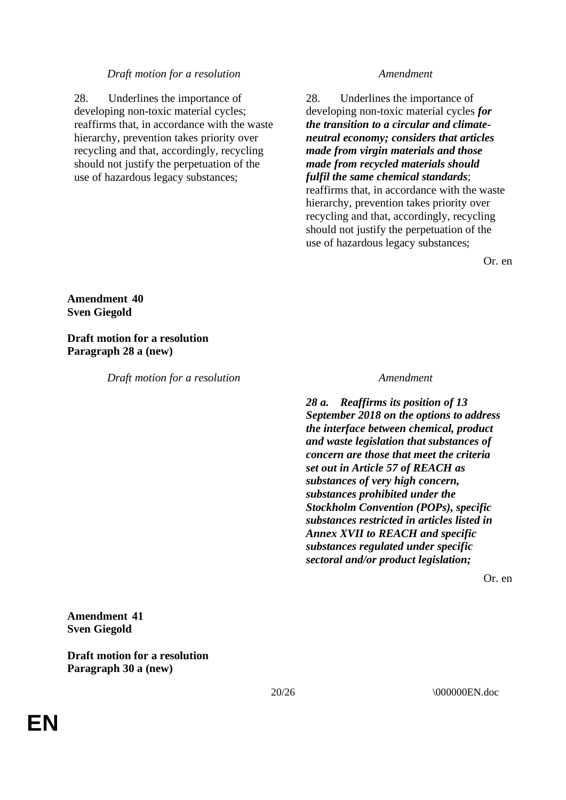28. Underlines the importance of developing non-toxic material cycles; reaffirms that, in accordance with the waste hierarchy, prevention takes priority over recycling and that, accordingly, recycling should not justify the perpetuation of the use of hazardous legacy substances;

28. Underlines the importance of developing non-toxic material cycles *for the transition to a circular and climateneutral economy; considers that articles made from virgin materials and those made from recycled materials should fulfil the same chemical standards*; reaffirms that, in accordance with the waste hierarchy, prevention takes priority over recycling and that, accordingly, recycling should not justify the perpetuation of the use of hazardous legacy substances;

Or. en

### **Amendment 40 Sven Giegold**

**Draft motion for a resolution Paragraph 28 a (new)**

*Draft motion for a resolution Amendment*

*28 a. Reaffirms its position of 13 September 2018 on the options to address the interface between chemical, product and waste legislation that substances of concern are those that meet the criteria set out in Article 57 of REACH as substances of very high concern, substances prohibited under the Stockholm Convention (POPs), specific substances restricted in articles listed in Annex XVII to REACH and specific substances regulated under specific sectoral and/or product legislation;*

Or. en

### **Amendment 41 Sven Giegold**

**Draft motion for a resolution Paragraph 30 a (new)**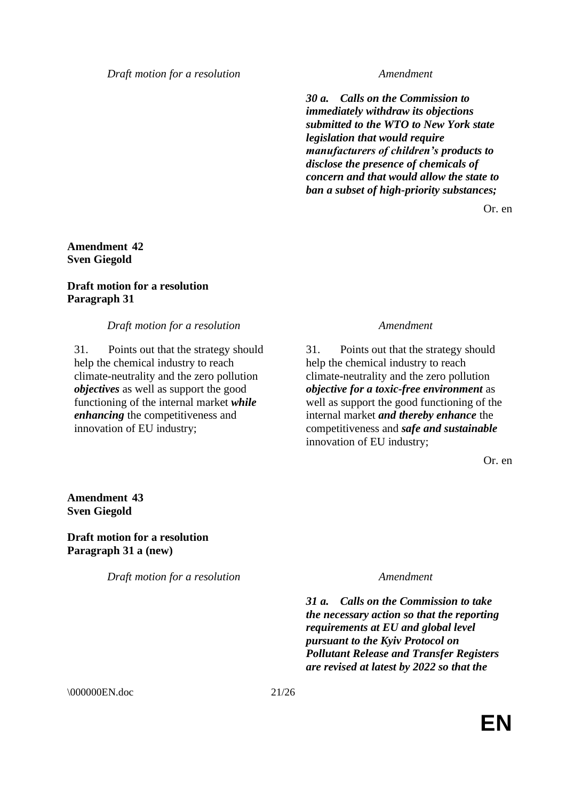*30 a. Calls on the Commission to immediately withdraw its objections submitted to the WTO to New York state legislation that would require manufacturers of children's products to disclose the presence of chemicals of concern and that would allow the state to ban a subset of high-priority substances;*

Or. en

### **Amendment 42 Sven Giegold**

### **Draft motion for a resolution Paragraph 31**

#### *Draft motion for a resolution Amendment*

31. Points out that the strategy should help the chemical industry to reach climate-neutrality and the zero pollution *objectives* as well as support the good functioning of the internal market *while enhancing* the competitiveness and innovation of EU industry;

31. Points out that the strategy should help the chemical industry to reach climate-neutrality and the zero pollution *objective for a toxic-free environment* as well as support the good functioning of the internal market *and thereby enhance* the competitiveness and *safe and sustainable* innovation of EU industry;

Or. en

### **Amendment 43 Sven Giegold**

**Draft motion for a resolution Paragraph 31 a (new)**

*Draft motion for a resolution Amendment*

*31 a. Calls on the Commission to take the necessary action so that the reporting requirements at EU and global level pursuant to the Kyiv Protocol on Pollutant Release and Transfer Registers are revised at latest by 2022 so that the* 

\000000EN.doc 21/26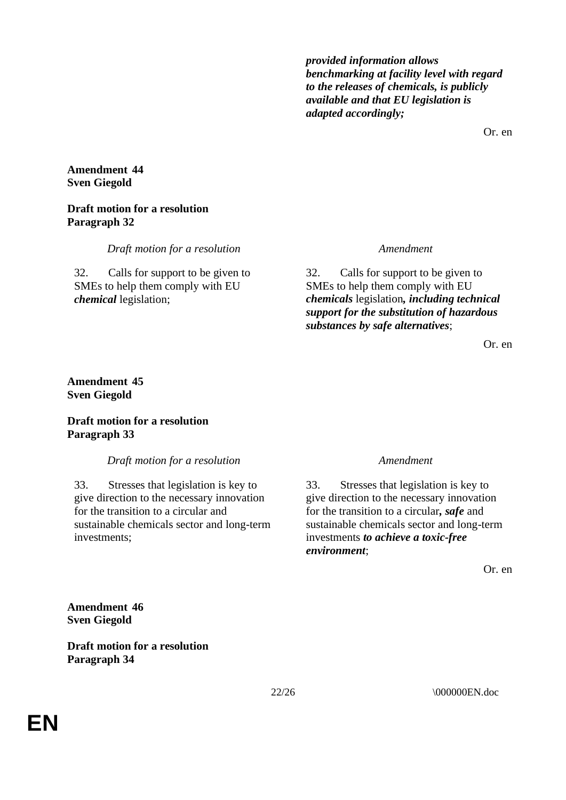*provided information allows benchmarking at facility level with regard to the releases of chemicals, is publicly available and that EU legislation is adapted accordingly;*

Or. en

### **Amendment 44 Sven Giegold**

### **Draft motion for a resolution Paragraph 32**

*Draft motion for a resolution Amendment*

32. Calls for support to be given to SMEs to help them comply with EU *chemical* legislation;

32. Calls for support to be given to SMEs to help them comply with EU *chemicals* legislation*, including technical support for the substitution of hazardous substances by safe alternatives*;

Or. en

### **Amendment 45 Sven Giegold**

### **Draft motion for a resolution Paragraph 33**

*Draft motion for a resolution Amendment*

33. Stresses that legislation is key to give direction to the necessary innovation for the transition to a circular and sustainable chemicals sector and long-term investments;

33. Stresses that legislation is key to give direction to the necessary innovation for the transition to a circular*, safe* and sustainable chemicals sector and long-term investments *to achieve a toxic-free environment*;

Or. en

**Amendment 46 Sven Giegold**

**Draft motion for a resolution Paragraph 34**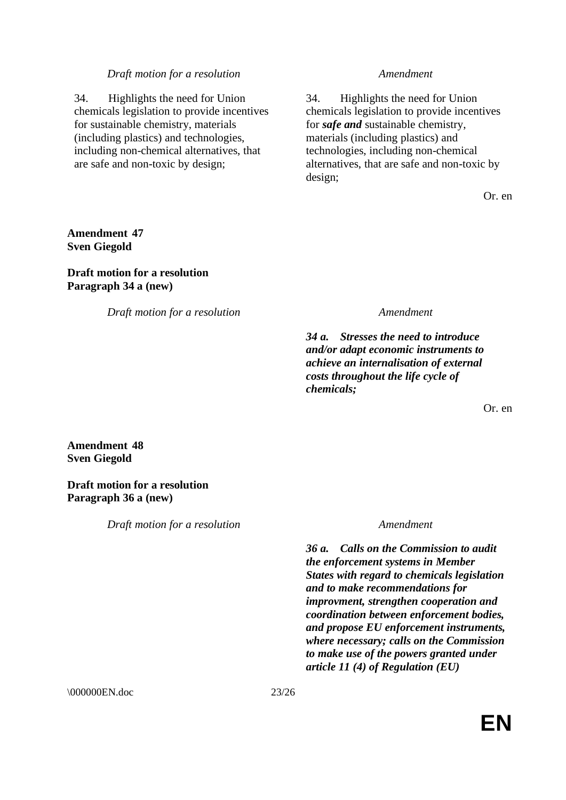34. Highlights the need for Union chemicals legislation to provide incentives for sustainable chemistry, materials (including plastics) and technologies, including non-chemical alternatives, that are safe and non-toxic by design;

34. Highlights the need for Union chemicals legislation to provide incentives for *safe and* sustainable chemistry, materials (including plastics) and technologies, including non-chemical alternatives, that are safe and non-toxic by design;

Or. en

**Amendment 47 Sven Giegold**

### **Draft motion for a resolution Paragraph 34 a (new)**

*Draft motion for a resolution Amendment*

*34 a. Stresses the need to introduce and/or adapt economic instruments to achieve an internalisation of external costs throughout the life cycle of chemicals;*

Or. en

#### **Amendment 48 Sven Giegold**

**Draft motion for a resolution Paragraph 36 a (new)**

*Draft motion for a resolution Amendment*

*36 a. Calls on the Commission to audit the enforcement systems in Member States with regard to chemicals legislation and to make recommendations for improvment, strengthen cooperation and coordination between enforcement bodies, and propose EU enforcement instruments, where necessary; calls on the Commission to make use of the powers granted under article 11 (4) of Regulation (EU)* 

\\ 000000EN.doc 23/26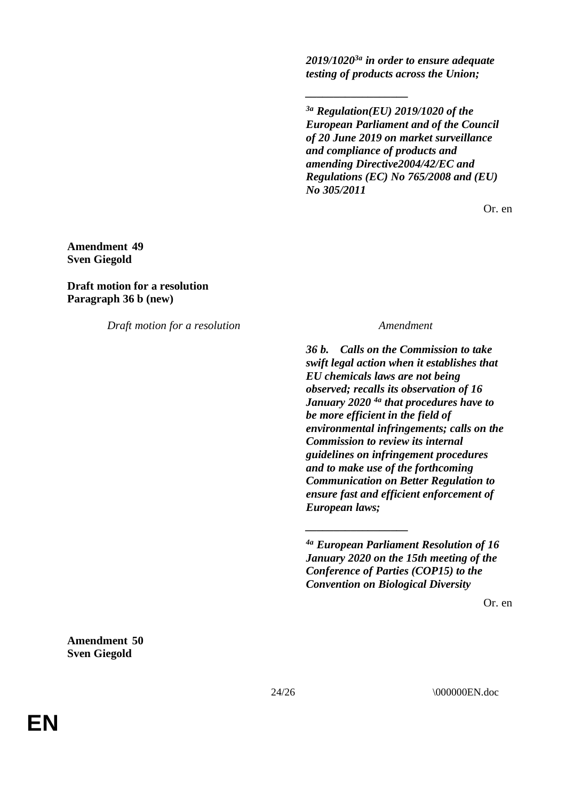*2019/10203a in order to ensure adequate testing of products across the Union;*

*\_\_\_\_\_\_\_\_\_\_\_\_\_\_\_\_\_\_*

*3a Regulation(EU) 2019/1020 of the European Parliament and of the Council of 20 June 2019 on market surveillance and compliance of products and amending Directive2004/42/EC and Regulations (EC) No 765/2008 and (EU) No 305/2011*

Or. en

### **Amendment 49 Sven Giegold**

**Draft motion for a resolution Paragraph 36 b (new)**

*Draft motion for a resolution Amendment*

*36 b. Calls on the Commission to take swift legal action when it establishes that EU chemicals laws are not being observed; recalls its observation of 16 January 2020 4a that procedures have to be more efficient in the field of environmental infringements; calls on the Commission to review its internal guidelines on infringement procedures and to make use of the forthcoming Communication on Better Regulation to ensure fast and efficient enforcement of European laws;*

*4a European Parliament Resolution of 16 January 2020 on the 15th meeting of the Conference of Parties (COP15) to the Convention on Biological Diversity*

*\_\_\_\_\_\_\_\_\_\_\_\_\_\_\_\_\_\_*

Or. en

**Amendment 50 Sven Giegold**